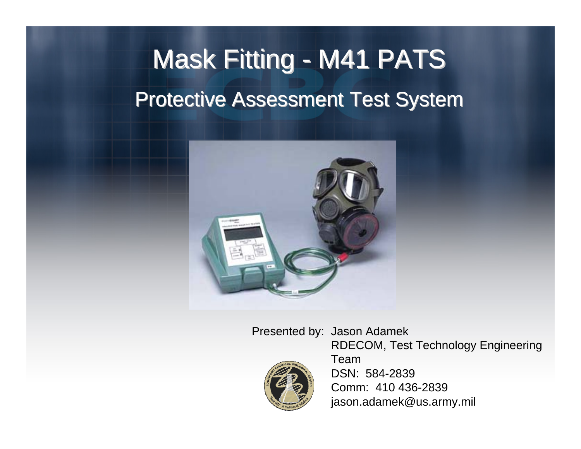### Mask Fitting - M41 PATS Protective Assessment Test System



Presented by: Jason Adamek



RDECOM, Test Technology Engineering TeamDSN: 584-2839 Comm: 410 436-2839 jason.adamek@us.army.mil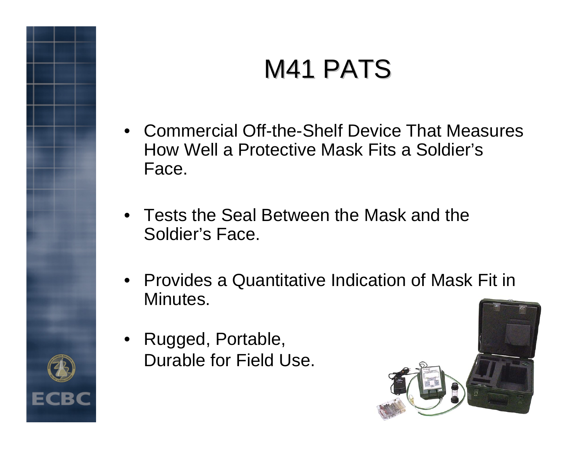### M41 PATS

- Commercial Off-the-Shelf Device That Measures How Well a Protective Mask Fits a Soldier's Face.
- Tests the Seal Between the Mask and the Soldier's Face.
- Provides a Quantitative Indication of Mask Fit in Minutes.
- • Rugged, Portable, Durable for Field Use.



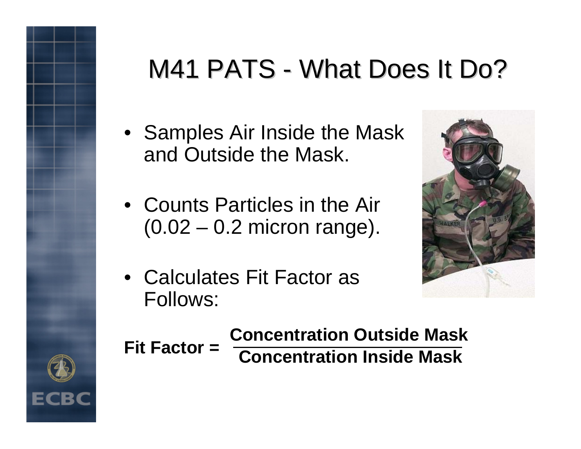# M41 PATS - What Does It Do?

- Samples Air Inside the Mask and Outside the Mask.
- Counts Particles in the Air (0.02 – 0.2 micron range).
- Calculates Fit Factor as Follows:





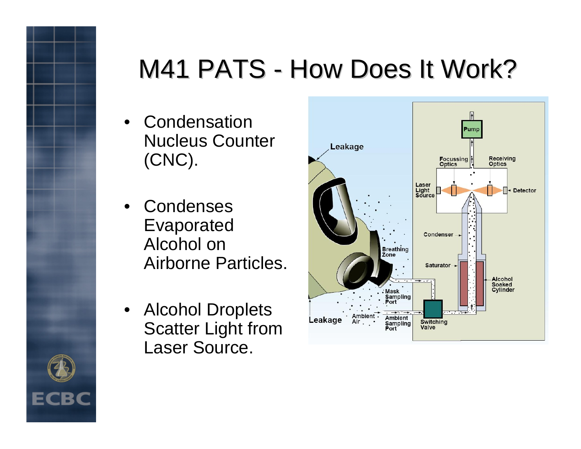# M41 PATS - How Does It Work?

- Condensation Nucleus Counter (CNC).
- Condenses Evaporated Alcohol on Airborne Particles.
- Alcohol Droplets Scatter Light from Laser Source.



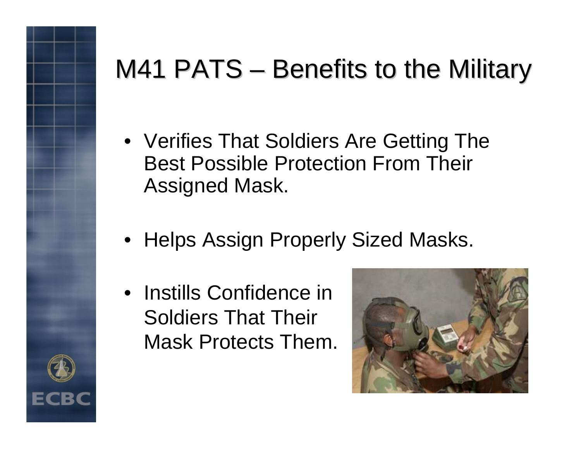## M41 PATS – Benefits to the Military

- Verifies That Soldiers Are Getting The Best Possible Protection From Their Assigned Mask.
- Helps Assign Properly Sized Masks.
- Instills Confidence in Soldiers That Their Mask Protects Them.



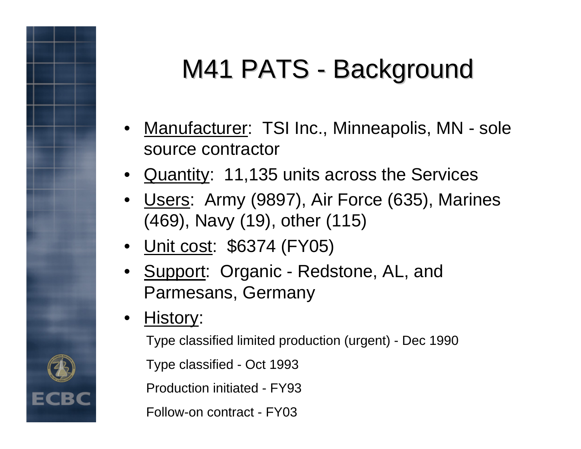# M41 PATS - Background

- Manufacturer: TSI Inc., Minneapolis, MN sole source contractor
- Quantity: 11,135 units across the Services
- •Users: Army (9897), Air Force (635), Marines (469), Navy (19), other (115)
- Unit cost: \$6374 (FY05)
- Support: Organic Redstone, AL, and Parmesans, Germany
- •History:

Type classified limited production (urgent) - Dec 1990

Type classified - Oct 1993

Production initiated - FY93

Follow-on contract - FY03

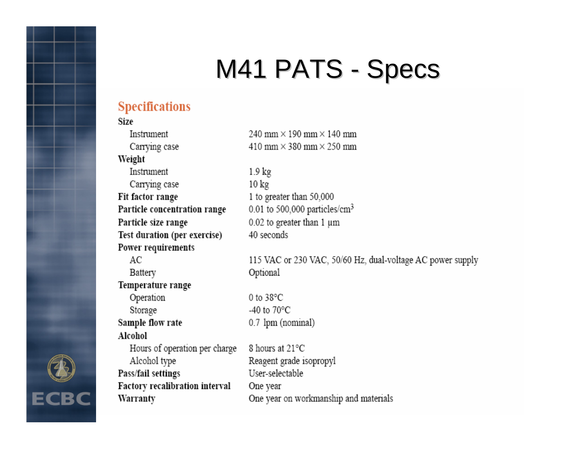#### M41 PATS -Specs

### **Specifications**

### **Size** Instrument Carrving case Weight Instrument Carrying case Fit factor range Particle concentration range Particle size range Test duration (per exercise) Power requirements  $AC$ Battery Temperature range Operation Storage Sample flow rate Alcohol Hours of operation per charge Alcohol type Pass/fail settings

Factory recalibration interval

Warranty

240 mm  $\times$  190 mm  $\times$  140 mm 410 mm  $\times$  380 mm  $\times$  250 mm

> $1.9 \text{ kg}$  $10 \text{ kg}$ 1 to greater than 50,000 0.01 to 500,000 particles/cm<sup>3</sup>  $0.02$  to greater than 1  $\mu$ m 40 seconds

115 VAC or 230 VAC, 50/60 Hz, dual-voltage AC power supply Optional

0 to  $38^{\circ}$ C -40 to  $70^{\circ}$ C 0.7 lpm (nominal)

8 hours at 21°C Reagent grade isopropyl User-selectable One year One year on workmanship and materials

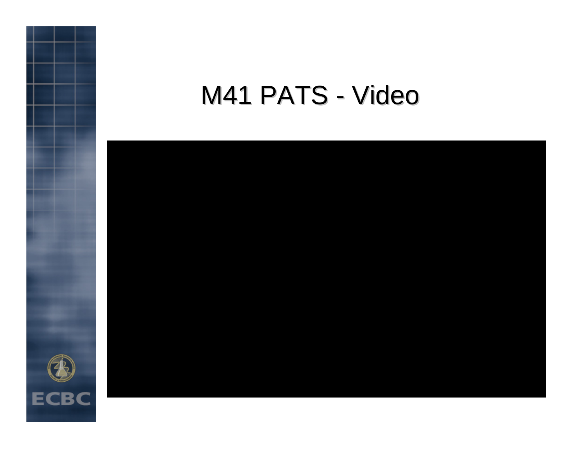#### M41 PATS -Video



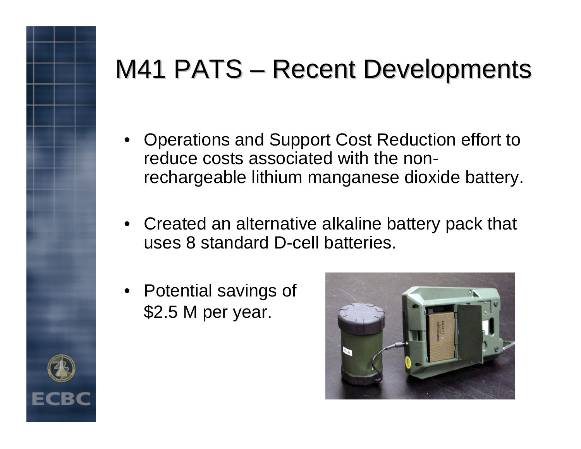### M41 PATS – Recent Developments

- Operations and Support Cost Reduction effort to reduce costs associated with the nonrechargeable lithium manganese dioxide battery.
- Created an alternative alkaline battery pack that uses 8 standard D-cell batteries.
- Potential savings of \$2.5 M per year.



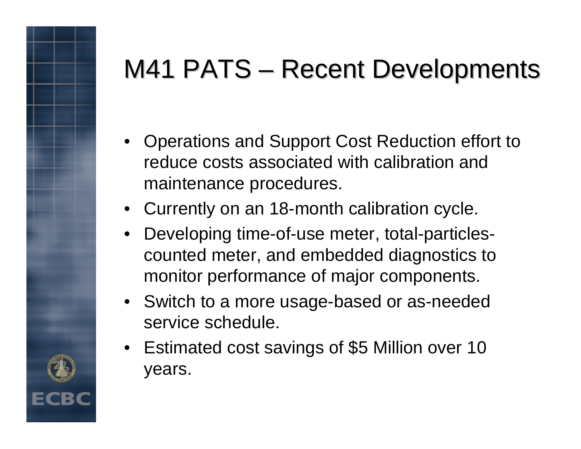## M41 PATS – Recent Developments

- Operations and Support Cost Reduction effort to reduce costs associated with calibration and maintenance procedures.
- Currently on an 18-month calibration cycle.
- • Developing time-of-use meter, total-particlescounted meter, and embedded diagnostics to monitor performance of major components.
- Switch to a more usage-based or as-needed service schedule.
- Estimated cost savings of \$5 Million over 10 years.